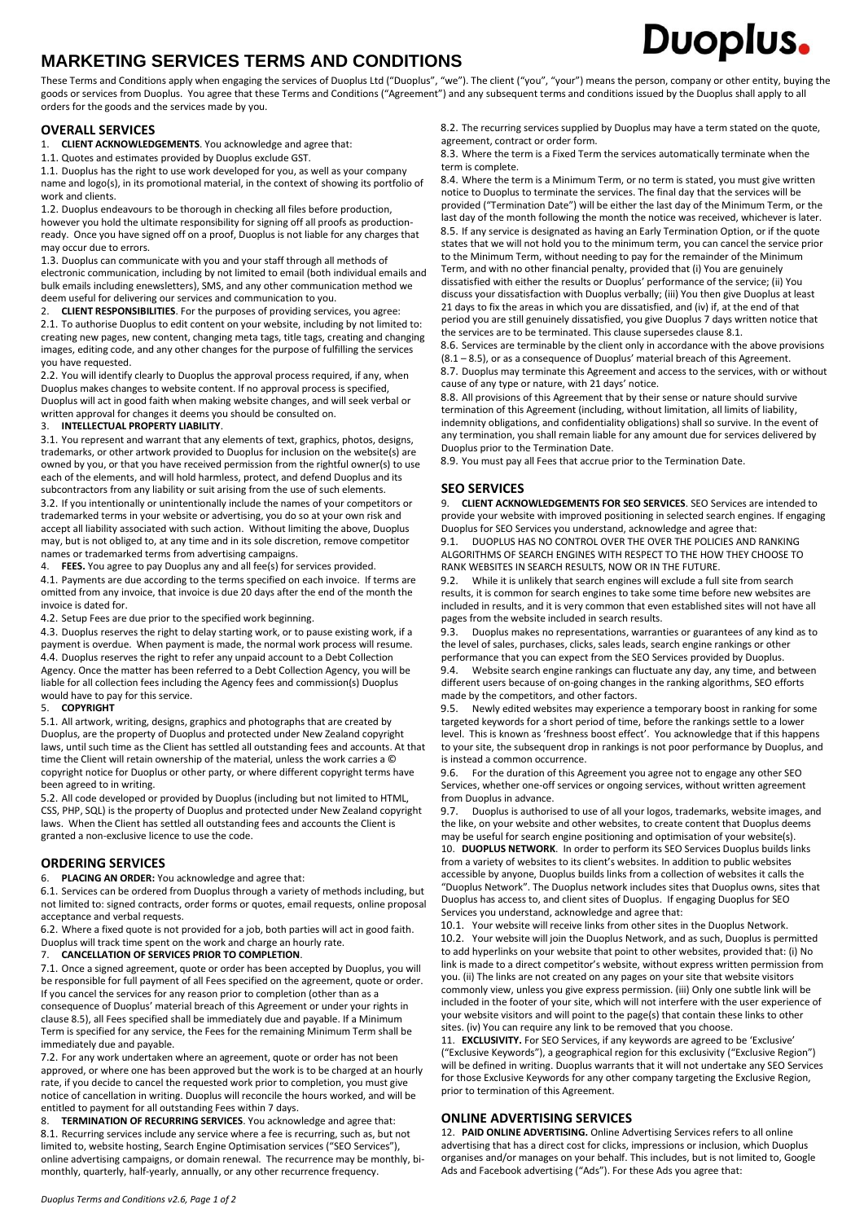# **MARKETING SERVICES TERMS AND CONDITIONS**

#### These Terms and Conditions apply when engaging the services of Duoplus Ltd ("Duoplus", "we"). The client ("you", "your") means the person, company or other entity, buying the goods or services from Duoplus. You agree that these Terms and Conditions ("Agreement") and any subsequent terms and conditions issued by the Duoplus shall apply to all orders for the goods and the services made by you.

# **OVERALL SERVICES**

1. **CLIENT ACKNOWLEDGEMENTS**. You acknowledge and agree that:

1.1. Quotes and estimates provided by Duoplus exclude GST.

1.1. Duoplus has the right to use work developed for you, as well as your company name and logo(s), in its promotional material, in the context of showing its portfolio of work and clients.

1.2. Duoplus endeavours to be thorough in checking all files before production, however you hold the ultimate responsibility for signing off all proofs as productionready. Once you have signed off on a proof, Duoplus is not liable for any charges that may occur due to errors.

1.3. Duoplus can communicate with you and your staff through all methods of electronic communication, including by not limited to email (both individual emails and bulk emails including enewsletters), SMS, and any other communication method we deem useful for delivering our services and communication to you.

2. **CLIENT RESPONSIBILITIES**. For the purposes of providing services, you agree: 2.1. To authorise Duoplus to edit content on your website, including by not limited to: creating new pages, new content, changing meta tags, title tags, creating and changing images, editing code, and any other changes for the purpose of fulfilling the services you have requested.

2.2. You will identify clearly to Duoplus the approval process required, if any, when Duoplus makes changes to website content. If no approval process is specified, Duoplus will act in good faith when making website changes, and will seek verbal or written approval for changes it deems you should be consulted on.

#### 3. **INTELLECTUAL PROPERTY LIABILITY**.

3.1. You represent and warrant that any elements of text, graphics, photos, designs, trademarks, or other artwork provided to Duoplus for inclusion on the website(s) are owned by you, or that you have received permission from the rightful owner(s) to use each of the elements, and will hold harmless, protect, and defend Duoplus and its subcontractors from any liability or suit arising from the use of such elements. 3.2. If you intentionally or unintentionally include the names of your competitors or trademarked terms in your website or advertising, you do so at your own risk and accept all liability associated with such action. Without limiting the above, Duoplus may, but is not obliged to, at any time and in its sole discretion, remove competitor names or trademarked terms from advertising campaigns.

4. **FEES.** You agree to pay Duoplus any and all fee(s) for services provided.

4.1. Payments are due according to the terms specified on each invoice. If terms are omitted from any invoice, that invoice is due 20 days after the end of the month the invoice is dated for.

4.2. Setup Fees are due prior to the specified work beginning.

4.3. Duoplus reserves the right to delay starting work, or to pause existing work, if a payment is overdue. When payment is made, the normal work process will resume. 4.4. Duoplus reserves the right to refer any unpaid account to a Debt Collection Agency. Once the matter has been referred to a Debt Collection Agency, you will be liable for all collection fees including the Agency fees and commission(s) Duoplus would have to pay for this service.

#### 5. **COPYRIGHT**

5.1. All artwork, writing, designs, graphics and photographs that are created by Duoplus, are the property of Duoplus and protected under New Zealand copyright laws, until such time as the Client has settled all outstanding fees and accounts. At that time the Client will retain ownership of the material, unless the work carries a © copyright notice for Duoplus or other party, or where different copyright terms have been agreed to in writing.

5.2. All code developed or provided by Duoplus (including but not limited to HTML, CSS, PHP, SQL) is the property of Duoplus and protected under New Zealand copyright laws. When the Client has settled all outstanding fees and accounts the Client is granted a non-exclusive licence to use the code.

## **ORDERING SERVICES**

6. **PLACING AN ORDER:** You acknowledge and agree that:

6.1. Services can be ordered from Duoplus through a variety of methods including, but not limited to: signed contracts, order forms or quotes, email requests, online proposal acceptance and verbal requests.

6.2. Where a fixed quote is not provided for a job, both parties will act in good faith. Duoplus will track time spent on the work and charge an hourly rate.

#### 7. **CANCELLATION OF SERVICES PRIOR TO COMPLETION**.

7.1. Once a signed agreement, quote or order has been accepted by Duoplus, you will be responsible for full payment of all Fees specified on the agreement, quote or order. If you cancel the services for any reason prior to completion (other than as a consequence of Duoplus' material breach of this Agreement or under your rights in clause 8.5), all Fees specified shall be immediately due and payable. If a Minimum Term is specified for any service, the Fees for the remaining Minimum Term shall be immediately due and payable.

7.2. For any work undertaken where an agreement, quote or order has not been approved, or where one has been approved but the work is to be charged at an hourly rate, if you decide to cancel the requested work prior to completion, you must give notice of cancellation in writing. Duoplus will reconcile the hours worked, and will be entitled to payment for all outstanding Fees within 7 days.

8. **TERMINATION OF RECURRING SERVICES**. You acknowledge and agree that: 8.1. Recurring services include any service where a fee is recurring, such as, but not limited to, website hosting, Search Engine Optimisation services ("SEO Services"), online advertising campaigns, or domain renewal. The recurrence may be monthly, bimonthly, quarterly, half-yearly, annually, or any other recurrence frequency.

8.2. The recurring services supplied by Duoplus may have a term stated on the quote, agreement, contract or order form.

Duoplus.

8.3. Where the term is a Fixed Term the services automatically terminate when the term is complete.

8.4. Where the term is a Minimum Term, or no term is stated, you must give written notice to Duoplus to terminate the services. The final day that the services will be provided ("Termination Date") will be either the last day of the Minimum Term, or the last day of the month following the month the notice was received, whichever is later. 8.5. If any service is designated as having an Early Termination Option, or if the quote states that we will not hold you to the minimum term, you can cancel the service prior to the Minimum Term, without needing to pay for the remainder of the Minimum Term, and with no other financial penalty, provided that (i) You are genuinely dissatisfied with either the results or Duoplus' performance of the service; (ii) You discuss your dissatisfaction with Duoplus verbally; (iii) You then give Duoplus at least 21 days to fix the areas in which you are dissatisfied, and (iv) if, at the end of that period you are still genuinely dissatisfied, you give Duoplus 7 days written notice that the services are to be terminated. This clause supersedes clause 8.1.

8.6. Services are terminable by the client only in accordance with the above provisions (8.1 – 8.5), or as a consequence of Duoplus' material breach of this Agreement. 8.7. Duoplus may terminate this Agreement and access to the services, with or without cause of any type or nature, with 21 days' notice.

8.8. All provisions of this Agreement that by their sense or nature should survive termination of this Agreement (including, without limitation, all limits of liability, indemnity obligations, and confidentiality obligations) shall so survive. In the event of any termination, you shall remain liable for any amount due for services delivered by Duoplus prior to the Termination Date.

8.9. You must pay all Fees that accrue prior to the Termination Date.

## **SEO SERVICES**

9. **CLIENT ACKNOWLEDGEMENTS FOR SEO SERVICES**. SEO Services are intended to provide your website with improved positioning in selected search engines. If engaging Duoplus for SEO Services you understand, acknowledge and agree that:

9.1. DUOPLUS HAS NO CONTROL OVER THE OVER THE POLICIES AND RANKING ALGORITHMS OF SEARCH ENGINES WITH RESPECT TO THE HOW THEY CHOOSE TO RANK WEBSITES IN SEARCH RESULTS, NOW OR IN THE FUTURE.

9.2. While it is unlikely that search engines will exclude a full site from search results, it is common for search engines to take some time before new websites are included in results, and it is very common that even established sites will not have all pages from the website included in search results.

9.3. Duoplus makes no representations, warranties or guarantees of any kind as to the level of sales, purchases, clicks, sales leads, search engine rankings or other performance that you can expect from the SEO Services provided by Duoplus.

9.4. Website search engine rankings can fluctuate any day, any time, and between different users because of on-going changes in the ranking algorithms, SEO efforts made by the competitors, and other factors.

9.5. Newly edited websites may experience a temporary boost in ranking for some targeted keywords for a short period of time, before the rankings settle to a lower level. This is known as 'freshness boost effect'. You acknowledge that if this happens to your site, the subsequent drop in rankings is not poor performance by Duoplus, and is instead a common occurrence.

9.6. For the duration of this Agreement you agree not to engage any other SEO Services, whether one-off services or ongoing services, without written agreement from Duoplus in advance.

9.7. Duoplus is authorised to use of all your logos, trademarks, website images, and the like, on your website and other websites, to create content that Duoplus deems may be useful for search engine positioning and optimisation of your website(s). 10. **DUOPLUS NETWORK**. In order to perform its SEO Services Duoplus builds links from a variety of websites to its client's websites. In addition to public websites accessible by anyone, Duoplus builds links from a collection of websites it calls the "Duoplus Network". The Duoplus network includes sites that Duoplus owns, sites that Duoplus has access to, and client sites of Duoplus. If engaging Duoplus for SEO Services you understand, acknowledge and agree that:

10.1. Your website will receive links from other sites in the Duoplus Network. 10.2. Your website will join the Duoplus Network, and as such, Duoplus is permitted to add hyperlinks on your website that point to other websites, provided that: (i) No link is made to a direct competitor's website, without express written permission from you. (ii) The links are not created on any pages on your site that website visitors commonly view, unless you give express permission. (iii) Only one subtle link will be included in the footer of your site, which will not interfere with the user experience of your website visitors and will point to the page(s) that contain these links to other sites. (iv) You can require any link to be removed that you choose.

11. **EXCLUSIVITY.** For SEO Services, if any keywords are agreed to be 'Exclusive' ("Exclusive Keywords"), a geographical region for this exclusivity ("Exclusive Region") will be defined in writing. Duoplus warrants that it will not undertake any SEO Services for those Exclusive Keywords for any other company targeting the Exclusive Region, prior to termination of this Agreement.

# **ONLINE ADVERTISING SERVICES**

12. **PAID ONLINE ADVERTISING.** Online Advertising Services refers to all online advertising that has a direct cost for clicks, impressions or inclusion, which Duoplus organises and/or manages on your behalf. This includes, but is not limited to, Google Ads and Facebook advertising ("Ads"). For these Ads you agree that: